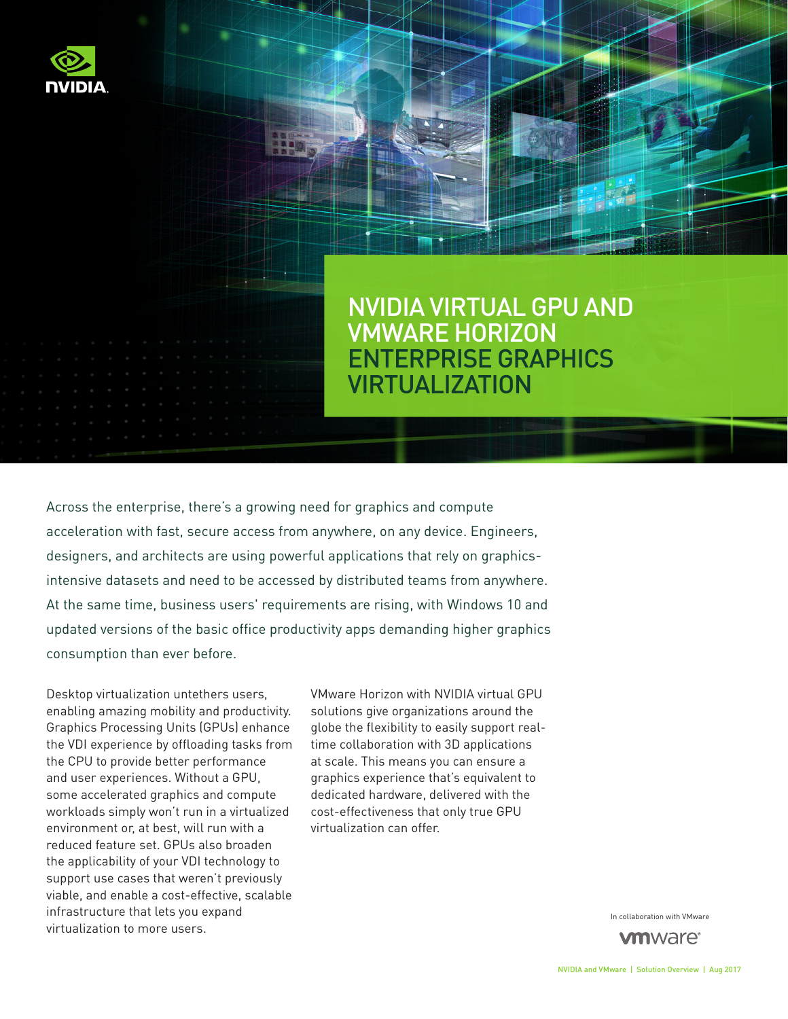

# NVIDIA VIRTUAL GPU AND VMWARE HORIZON ENTERPRISE GRAPHICS **VIRTUALIZATION**

Across the enterprise, there's a growing need for graphics and compute acceleration with fast, secure access from anywhere, on any device. Engineers, designers, and architects are using powerful applications that rely on graphicsintensive datasets and need to be accessed by distributed teams from anywhere. At the same time, business users' requirements are rising, with Windows 10 and updated versions of the basic office productivity apps demanding higher graphics consumption than ever before.

Desktop virtualization untethers users, enabling amazing mobility and productivity. Graphics Processing Units (GPUs) enhance the VDI experience by offloading tasks from the CPU to provide better performance and user experiences. Without a GPU, some accelerated graphics and compute workloads simply won't run in a virtualized environment or, at best, will run with a reduced feature set. GPUs also broaden the applicability of your VDI technology to support use cases that weren't previously viable, and enable a cost-effective, scalable infrastructure that lets you expand virtualization to more users.

VMware Horizon with NVIDIA virtual GPU solutions give organizations around the globe the flexibility to easily support realtime collaboration with 3D applications at scale. This means you can ensure a graphics experience that's equivalent to dedicated hardware, delivered with the cost-effectiveness that only true GPU virtualization can offer.

In collaboration with VMware